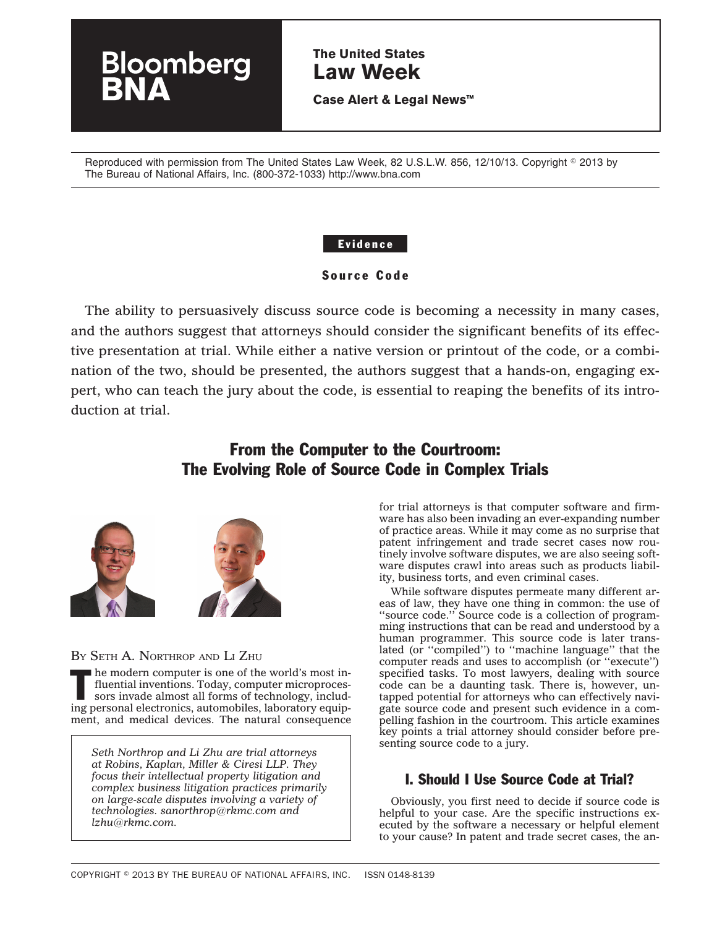# **The United States Law Week**

**Case Alert & Legal News™**

Reproduced with permission from The United States Law Week, 82 U.S.L.W. 856, 12/10/13. Copyright © 2013 by The Bureau of National Affairs, Inc. (800-372-1033) http://www.bna.com

### Evidence

### Source Code

The ability to persuasively discuss source code is becoming a necessity in many cases, and the authors suggest that attorneys should consider the significant benefits of its effective presentation at trial. While either a native version or printout of the code, or a combination of the two, should be presented, the authors suggest that a hands-on, engaging expert, who can teach the jury about the code, is essential to reaping the benefits of its introduction at trial.

# From the Computer to the Courtroom: The Evolving Role of Source Code in Complex Trials



oomberg

BY SETH A. NORTHROP AND LI ZHU

The modern computer is one of the world's most in-<br>fluential inventions. Today, computer microproces-<br>sors invade almost all forms of technology, includ-<br>interactions between the solutions. fluential inventions. Today, computer microprocesing personal electronics, automobiles, laboratory equipment, and medical devices. The natural consequence

*Seth Northrop and Li Zhu are trial attorneys at Robins, Kaplan, Miller & Ciresi LLP. They focus their intellectual property litigation and complex business litigation practices primarily on large-scale disputes involving a variety of technologies. sanorthrop@rkmc.com and lzhu@rkmc.com.*

for trial attorneys is that computer software and firmware has also been invading an ever-expanding number of practice areas. While it may come as no surprise that patent infringement and trade secret cases now routinely involve software disputes, we are also seeing software disputes crawl into areas such as products liability, business torts, and even criminal cases.

While software disputes permeate many different areas of law, they have one thing in common: the use of ''source code.'' Source code is a collection of programming instructions that can be read and understood by a human programmer. This source code is later translated (or ''compiled'') to ''machine language'' that the computer reads and uses to accomplish (or ''execute'') specified tasks. To most lawyers, dealing with source code can be a daunting task. There is, however, untapped potential for attorneys who can effectively navigate source code and present such evidence in a compelling fashion in the courtroom. This article examines key points a trial attorney should consider before presenting source code to a jury.

## I. Should I Use Source Code at Trial?

Obviously, you first need to decide if source code is helpful to your case. Are the specific instructions executed by the software a necessary or helpful element to your cause? In patent and trade secret cases, the an-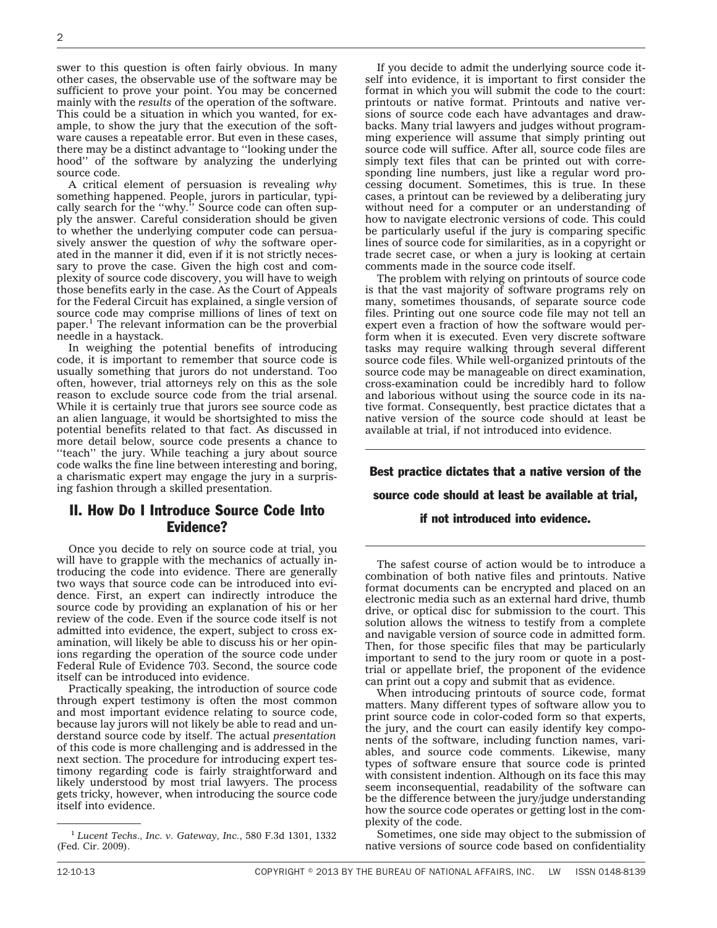swer to this question is often fairly obvious. In many other cases, the observable use of the software may be sufficient to prove your point. You may be concerned mainly with the *results* of the operation of the software. This could be a situation in which you wanted, for example, to show the jury that the execution of the software causes a repeatable error. But even in these cases, there may be a distinct advantage to ''looking under the hood'' of the software by analyzing the underlying source code.

A critical element of persuasion is revealing *why* something happened. People, jurors in particular, typically search for the ''why.'' Source code can often supply the answer. Careful consideration should be given to whether the underlying computer code can persuasively answer the question of *why* the software operated in the manner it did, even if it is not strictly necessary to prove the case. Given the high cost and complexity of source code discovery, you will have to weigh those benefits early in the case. As the Court of Appeals for the Federal Circuit has explained, a single version of source code may comprise millions of lines of text on paper.<sup>1</sup> The relevant information can be the proverbial needle in a haystack.

In weighing the potential benefits of introducing code, it is important to remember that source code is usually something that jurors do not understand. Too often, however, trial attorneys rely on this as the sole reason to exclude source code from the trial arsenal. While it is certainly true that jurors see source code as an alien language, it would be shortsighted to miss the potential benefits related to that fact. As discussed in more detail below, source code presents a chance to "teach" the jury. While teaching a jury about source code walks the fine line between interesting and boring, a charismatic expert may engage the jury in a surprising fashion through a skilled presentation.

## II. How Do I Introduce Source Code Into Evidence?

Once you decide to rely on source code at trial, you will have to grapple with the mechanics of actually introducing the code into evidence. There are generally two ways that source code can be introduced into evidence. First, an expert can indirectly introduce the source code by providing an explanation of his or her review of the code. Even if the source code itself is not admitted into evidence, the expert, subject to cross examination, will likely be able to discuss his or her opinions regarding the operation of the source code under Federal Rule of Evidence 703. Second, the source code itself can be introduced into evidence.

Practically speaking, the introduction of source code through expert testimony is often the most common and most important evidence relating to source code, because lay jurors will not likely be able to read and understand source code by itself. The actual *presentation* of this code is more challenging and is addressed in the next section. The procedure for introducing expert testimony regarding code is fairly straightforward and likely understood by most trial lawyers. The process gets tricky, however, when introducing the source code itself into evidence.

If you decide to admit the underlying source code itself into evidence, it is important to first consider the format in which you will submit the code to the court: printouts or native format. Printouts and native versions of source code each have advantages and drawbacks. Many trial lawyers and judges without programming experience will assume that simply printing out source code will suffice. After all, source code files are simply text files that can be printed out with corresponding line numbers, just like a regular word processing document. Sometimes, this is true. In these cases, a printout can be reviewed by a deliberating jury without need for a computer or an understanding of how to navigate electronic versions of code. This could be particularly useful if the jury is comparing specific lines of source code for similarities, as in a copyright or trade secret case, or when a jury is looking at certain comments made in the source code itself.

The problem with relying on printouts of source code is that the vast majority of software programs rely on many, sometimes thousands, of separate source code files. Printing out one source code file may not tell an expert even a fraction of how the software would perform when it is executed. Even very discrete software tasks may require walking through several different source code files. While well-organized printouts of the source code may be manageable on direct examination, cross-examination could be incredibly hard to follow and laborious without using the source code in its native format. Consequently, best practice dictates that a native version of the source code should at least be available at trial, if not introduced into evidence.

Best practice dictates that a native version of the source code should at least be available at trial,

#### if not introduced into evidence.

The safest course of action would be to introduce a combination of both native files and printouts. Native format documents can be encrypted and placed on an electronic media such as an external hard drive, thumb drive, or optical disc for submission to the court. This solution allows the witness to testify from a complete and navigable version of source code in admitted form. Then, for those specific files that may be particularly important to send to the jury room or quote in a posttrial or appellate brief, the proponent of the evidence can print out a copy and submit that as evidence.

When introducing printouts of source code, format matters. Many different types of software allow you to print source code in color-coded form so that experts, the jury, and the court can easily identify key components of the software, including function names, variables, and source code comments. Likewise, many types of software ensure that source code is printed with consistent indention. Although on its face this may seem inconsequential, readability of the software can be the difference between the jury/judge understanding how the source code operates or getting lost in the complexity of the code.

Sometimes, one side may object to the submission of native versions of source code based on confidentiality

<sup>1</sup> *Lucent Techs., Inc. v. Gateway, Inc.*, 580 F.3d 1301, 1332 (Fed. Cir. 2009).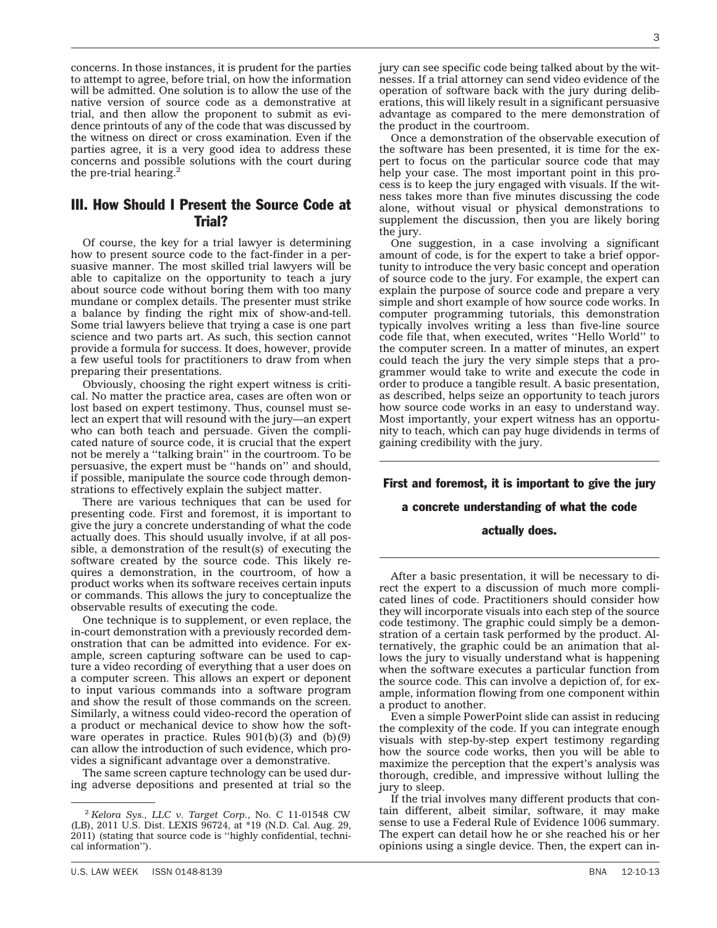concerns. In those instances, it is prudent for the parties to attempt to agree, before trial, on how the information will be admitted. One solution is to allow the use of the native version of source code as a demonstrative at trial, and then allow the proponent to submit as evidence printouts of any of the code that was discussed by the witness on direct or cross examination. Even if the parties agree, it is a very good idea to address these concerns and possible solutions with the court during the pre-trial hearing. $<sup>2</sup>$ </sup>

### III. How Should I Present the Source Code at Trial?

Of course, the key for a trial lawyer is determining how to present source code to the fact-finder in a persuasive manner. The most skilled trial lawyers will be able to capitalize on the opportunity to teach a jury about source code without boring them with too many mundane or complex details. The presenter must strike a balance by finding the right mix of show-and-tell. Some trial lawyers believe that trying a case is one part science and two parts art. As such, this section cannot provide a formula for success. It does, however, provide a few useful tools for practitioners to draw from when preparing their presentations.

Obviously, choosing the right expert witness is critical. No matter the practice area, cases are often won or lost based on expert testimony. Thus, counsel must select an expert that will resound with the jury—an expert who can both teach and persuade. Given the complicated nature of source code, it is crucial that the expert not be merely a ''talking brain'' in the courtroom. To be persuasive, the expert must be ''hands on'' and should, if possible, manipulate the source code through demonstrations to effectively explain the subject matter.

There are various techniques that can be used for presenting code. First and foremost, it is important to give the jury a concrete understanding of what the code actually does. This should usually involve, if at all possible, a demonstration of the result(s) of executing the software created by the source code. This likely requires a demonstration, in the courtroom, of how a product works when its software receives certain inputs or commands. This allows the jury to conceptualize the observable results of executing the code.

One technique is to supplement, or even replace, the in-court demonstration with a previously recorded demonstration that can be admitted into evidence. For example, screen capturing software can be used to capture a video recording of everything that a user does on a computer screen. This allows an expert or deponent to input various commands into a software program and show the result of those commands on the screen. Similarly, a witness could video-record the operation of a product or mechanical device to show how the software operates in practice. Rules  $901(b)(3)$  and  $(b)(9)$ can allow the introduction of such evidence, which provides a significant advantage over a demonstrative.

The same screen capture technology can be used during adverse depositions and presented at trial so the jury can see specific code being talked about by the witnesses. If a trial attorney can send video evidence of the operation of software back with the jury during deliberations, this will likely result in a significant persuasive advantage as compared to the mere demonstration of the product in the courtroom.

Once a demonstration of the observable execution of the software has been presented, it is time for the expert to focus on the particular source code that may help your case. The most important point in this process is to keep the jury engaged with visuals. If the witness takes more than five minutes discussing the code alone, without visual or physical demonstrations to supplement the discussion, then you are likely boring the jury.

One suggestion, in a case involving a significant amount of code, is for the expert to take a brief opportunity to introduce the very basic concept and operation of source code to the jury. For example, the expert can explain the purpose of source code and prepare a very simple and short example of how source code works. In computer programming tutorials, this demonstration typically involves writing a less than five-line source code file that, when executed, writes ''Hello World'' to the computer screen. In a matter of minutes, an expert could teach the jury the very simple steps that a programmer would take to write and execute the code in order to produce a tangible result. A basic presentation, as described, helps seize an opportunity to teach jurors how source code works in an easy to understand way. Most importantly, your expert witness has an opportunity to teach, which can pay huge dividends in terms of gaining credibility with the jury.

First and foremost, it is important to give the jury

### a concrete understanding of what the code

#### actually does.

After a basic presentation, it will be necessary to direct the expert to a discussion of much more complicated lines of code. Practitioners should consider how they will incorporate visuals into each step of the source code testimony. The graphic could simply be a demonstration of a certain task performed by the product. Alternatively, the graphic could be an animation that allows the jury to visually understand what is happening when the software executes a particular function from the source code. This can involve a depiction of, for example, information flowing from one component within a product to another.

Even a simple PowerPoint slide can assist in reducing the complexity of the code. If you can integrate enough visuals with step-by-step expert testimony regarding how the source code works, then you will be able to maximize the perception that the expert's analysis was thorough, credible, and impressive without lulling the jury to sleep.

If the trial involves many different products that contain different, albeit similar, software, it may make sense to use a Federal Rule of Evidence 1006 summary. The expert can detail how he or she reached his or her opinions using a single device. Then, the expert can in-

<sup>2</sup> *Kelora Sys., LLC v. Target Corp.*, No. C 11-01548 CW (LB), 2011 U.S. Dist. LEXIS 96724, at \*19 (N.D. Cal. Aug. 29, 2011) (stating that source code is ''highly confidential, technical information'').